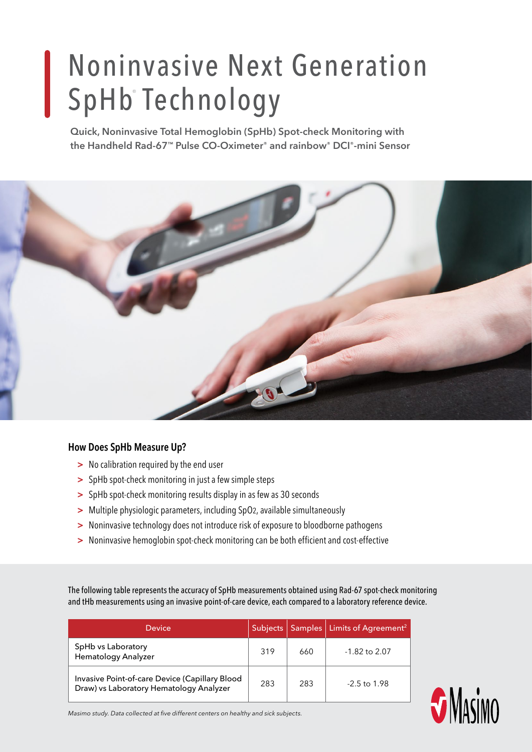# Noninvasive Next Generation SpHb® Technology

**Quick, Noninvasive Total Hemoglobin (SpHb) Spot-check Monitoring with the Handheld Rad-67™ Pulse CO-Oximeter® and rainbow® DCI®-mini Sensor**



#### **How Does SpHb Measure Up?**

- **>** No calibration required by the end user
- **>** SpHb spot-check monitoring in just a few simple steps
- **>** SpHb spot-check monitoring results display in as few as 30 seconds
- **>** Multiple physiologic parameters, including SpO2, available simultaneously
- **>** Noninvasive technology does not introduce risk of exposure to bloodborne pathogens
- **>** Noninvasive hemoglobin spot-check monitoring can be both efficient and cost-effective

The following table represents the accuracy of SpHb measurements obtained using Rad-67 spot-check monitoring and tHb measurements using an invasive point-of-care device, each compared to a laboratory reference device.

| Device                                                                                    | Subjects |     | Samples   Limits of Agreement <sup>2</sup> |
|-------------------------------------------------------------------------------------------|----------|-----|--------------------------------------------|
| SpHb vs Laboratory<br>Hematology Analyzer                                                 | 319      | 660 | $-1.82$ to 2.07                            |
| Invasive Point-of-care Device (Capillary Blood<br>Draw) vs Laboratory Hematology Analyzer | 283      | 283 | $-2.5$ to 1.98                             |



*Masimo study. Data collected at five different centers on healthy and sick subjects.*